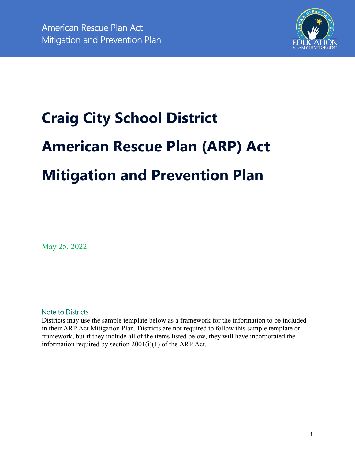

# **Craig City School District American Rescue Plan (ARP) Act Mitigation and Prevention Plan**

May 25, 2022

Note to Districts

Districts may use the sample template below as a framework for the information to be included in their ARP Act Mitigation Plan. Districts are not required to follow this sample template or framework, but if they include all of the items listed below, they will have incorporated the information required by section 2001(i)(1) of the ARP Act.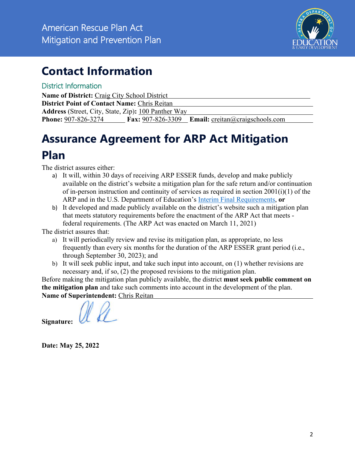

# **Contact Information**

## District Information

**Name of District:** Craig City School District **District Point of Contact Name:** Chris Reitan **Address** (Street, City, State, Zip)**:** 100 Panther Way **Phone:** 907-826-3274 **Fax:** 907-826-3309 **Email:** creitan@craigschools.com

# **Assurance Agreement for ARP Act Mitigation Plan**

The district assures either:

- a) It will, within 30 days of receiving ARP ESSER funds, develop and make publicly available on the district's website a mitigation plan for the safe return and/or continuation of in-person instruction and continuity of services as required in section 2001(i)(1) of the ARP and in the U.S. Department of Education's Interim Final Requirements, **or**
- b) It developed and made publicly available on the district's website such a mitigation plan that meets statutory requirements before the enactment of the ARP Act that meets federal requirements. (The ARP Act was enacted on March 11, 2021)

The district assures that:

- a) It will periodically review and revise its mitigation plan, as appropriate, no less frequently than every six months for the duration of the ARP ESSER grant period (i.e., through September 30, 2023); and
- b) It will seek public input, and take such input into account, on (1) whether revisions are necessary and, if so, (2) the proposed revisions to the mitigation plan.

Before making the mitigation plan publicly available, the district **must seek public comment on the mitigation plan** and take such comments into account in the development of the plan. **Name of Superintendent:** Chris Reitan

**Signature:** 

**Date: May 25, 2022**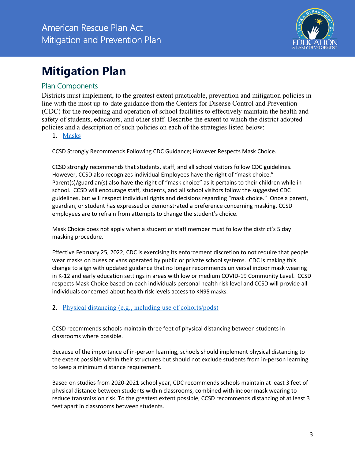

# **Mitigation Plan**

## Plan Components

Districts must implement, to the greatest extent practicable, prevention and mitigation policies in line with the most up-to-date guidance from the Centers for Disease Control and Prevention (CDC) for the reopening and operation of school facilities to effectively maintain the health and safety of students, educators, and other staff. Describe the extent to which the district adopted policies and a description of such policies on each of the strategies listed below:

1. Masks

CCSD Strongly Recommends Following CDC Guidance; However Respects Mask Choice.

CCSD strongly recommends that students, staff, and all school visitors follow CDC guidelines. However, CCSD also recognizes individual Employees have the right of "mask choice." Parent(s)/guardian(s) also have the right of "mask choice" as it pertains to their children while in school. CCSD will encourage staff, students, and all school visitors follow the suggested CDC guidelines, but will respect individual rights and decisions regarding "mask choice." Once a parent, guardian, or student has expressed or demonstrated a preference concerning masking, CCSD employees are to refrain from attempts to change the student's choice.

Mask Choice does not apply when a student or staff member must follow the district's 5 day masking procedure.

Effective February 25, 2022, CDC is exercising its enforcement discretion to not require that people wear masks on buses or vans operated by public or private school systems. CDC is making this change to align with updated guidance that no longer recommends universal indoor mask wearing in K-12 and early education settings in areas with low or medium COVID-19 Community Level. CCSD respects Mask Choice based on each individuals personal health risk level and CCSD will provide all individuals concerned about health risk levels access to KN95 masks.

### 2. Physical distancing (e.g., including use of cohorts/pods)

CCSD recommends schools maintain three feet of physical distancing between students in classrooms where possible.

Because of the importance of in-person learning, schools should implement physical distancing to the extent possible within their structures but should not exclude students from in-person learning to keep a minimum distance requirement.

Based on studies from 2020-2021 school year, CDC recommends schools maintain at least 3 feet of physical distance between students within classrooms, combined with indoor mask wearing to reduce transmission risk. To the greatest extent possible, CCSD recommends distancing of at least 3 feet apart in classrooms between students.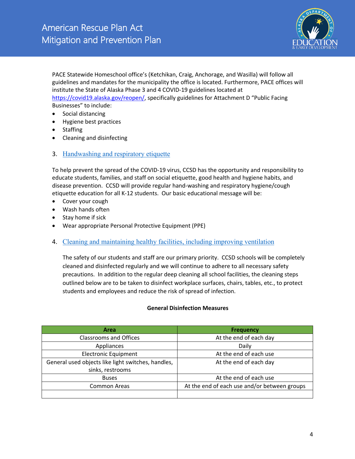

PACE Statewide Homeschool office's (Ketchikan, Craig, Anchorage, and Wasilla) will follow all guidelines and mandates for the municipality the office is located. Furthermore, PACE offices will institute the State of Alaska Phase 3 and 4 COVID-19 guidelines located at https://covid19.alaska.gov/reopen/, specifically guidelines for Attachment D "Public Facing Businesses" to include:

- Social distancing
- Hygiene best practices
- Staffing
- Cleaning and disinfecting

#### 3. Handwashing and respiratory etiquette

To help prevent the spread of the COVID-19 virus, CCSD has the opportunity and responsibility to educate students, families, and staff on social etiquette, good health and hygiene habits, and disease prevention. CCSD will provide regular hand-washing and respiratory hygiene/cough etiquette education for all K-12 students. Our basic educational message will be:

- Cover your cough
- Wash hands often
- Stay home if sick
- Wear appropriate Personal Protective Equipment (PPE)
- 4. Cleaning and maintaining healthy facilities, including improving ventilation

The safety of our students and staff are our primary priority. CCSD schools will be completely cleaned and disinfected regularly and we will continue to adhere to all necessary safety precautions. In addition to the regular deep cleaning all school facilities, the cleaning steps outlined below are to be taken to disinfect workplace surfaces, chairs, tables, etc., to protect students and employees and reduce the risk of spread of infection.

#### **General Disinfection Measures**

| <b>Area</b>                                        | <b>Frequency</b>                             |
|----------------------------------------------------|----------------------------------------------|
| Classrooms and Offices                             | At the end of each day                       |
| Appliances                                         | Daily                                        |
| <b>Electronic Equipment</b>                        | At the end of each use                       |
| General used objects like light switches, handles, | At the end of each day                       |
| sinks, restrooms                                   |                                              |
| <b>Buses</b>                                       | At the end of each use                       |
| <b>Common Areas</b>                                | At the end of each use and/or between groups |
|                                                    |                                              |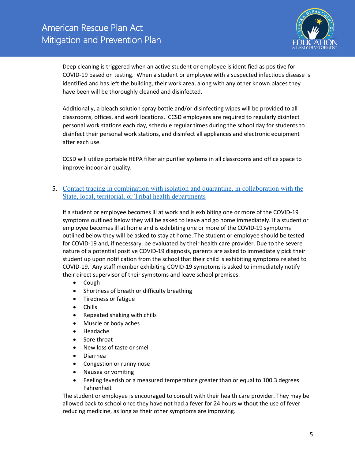

Deep cleaning is triggered when an active student or employee is identified as positive for COVID-19 based on testing. When a student or employee with a suspected infectious disease is identified and has left the building, their work area, along with any other known places they have been will be thoroughly cleaned and disinfected.

Additionally, a bleach solution spray bottle and/or disinfecting wipes will be provided to all classrooms, offices, and work locations. CCSD employees are required to regularly disinfect personal work stations each day, schedule regular times during the school day for students to disinfect their personal work stations, and disinfect all appliances and electronic equipment after each use.

CCSD will utilize portable HEPA filter air purifier systems in all classrooms and office space to improve indoor air quality.

#### 5. Contact tracing in combination with isolation and quarantine, in collaboration with the State, local, territorial, or Tribal health departments

If a student or employee becomes ill at work and is exhibiting one or more of the COVID-19 symptoms outlined below they will be asked to leave and go home immediately. If a student or employee becomes ill at home and is exhibiting one or more of the COVID-19 symptoms outlined below they will be asked to stay at home. The student or employee should be tested for COVID-19 and, if necessary, be evaluated by their health care provider. Due to the severe nature of a potential positive COVID-19 diagnosis, parents are asked to immediately pick their student up upon notification from the school that their child is exhibiting symptoms related to COVID-19. Any staff member exhibiting COVID-19 symptoms is asked to immediately notify their direct supervisor of their symptoms and leave school premises.

- Cough
- Shortness of breath or difficulty breathing
- Tiredness or fatigue
- Chills
- Repeated shaking with chills
- Muscle or body aches
- Headache
- Sore throat
- New loss of taste or smell
- Diarrhea
- Congestion or runny nose
- Nausea or vomiting
- Feeling feverish or a measured temperature greater than or equal to 100.3 degrees Fahrenheit

The student or employee is encouraged to consult with their health care provider. They may be allowed back to school once they have not had a fever for 24 hours without the use of fever reducing medicine, as long as their other symptoms are improving.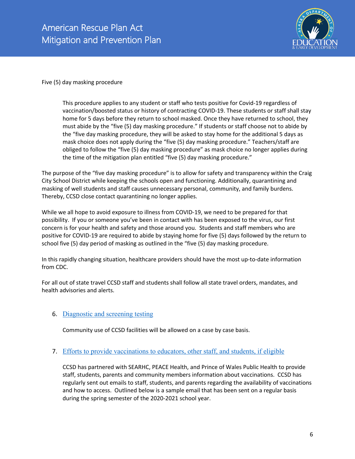

Five (5) day masking procedure

This procedure applies to any student or staff who tests positive for Covid-19 regardless of vaccination/boosted status or history of contracting COVID-19. These students or staff shall stay home for 5 days before they return to school masked. Once they have returned to school, they must abide by the "five (5) day masking procedure." If students or staff choose not to abide by the "five day masking procedure, they will be asked to stay home for the additional 5 days as mask choice does not apply during the "five (5) day masking procedure." Teachers/staff are obliged to follow the "five (5) day masking procedure" as mask choice no longer applies during the time of the mitigation plan entitled "five (5) day masking procedure."

The purpose of the "five day masking procedure" is to allow for safety and transparency within the Craig City School District while keeping the schools open and functioning. Additionally, quarantining and masking of well students and staff causes unnecessary personal, community, and family burdens. Thereby, CCSD close contact quarantining no longer applies.

While we all hope to avoid exposure to illness from COVID-19, we need to be prepared for that possibility. If you or someone you've been in contact with has been exposed to the virus, our first concern is for your health and safety and those around you. Students and staff members who are positive for COVID-19 are required to abide by staying home for five (5) days followed by the return to school five (5) day period of masking as outlined in the "five (5) day masking procedure.

In this rapidly changing situation, healthcare providers should have the most up-to-date information from CDC.

For all out of state travel CCSD staff and students shall follow all state travel orders, mandates, and health advisories and alerts.

#### 6. Diagnostic and screening testing

Community use of CCSD facilities will be allowed on a case by case basis.

#### 7. Efforts to provide vaccinations to educators, other staff, and students, if eligible

CCSD has partnered with SEARHC, PEACE Health, and Prince of Wales Public Health to provide staff, students, parents and community members information about vaccinations. CCSD has regularly sent out emails to staff, students, and parents regarding the availability of vaccinations and how to access. Outlined below is a sample email that has been sent on a regular basis during the spring semester of the 2020-2021 school year.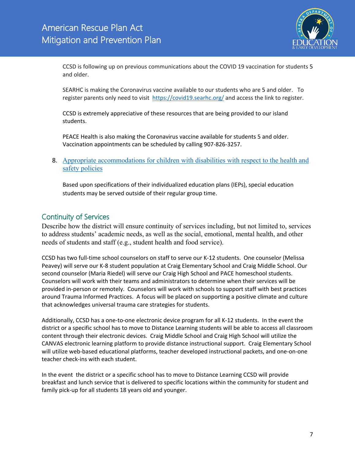

CCSD is following up on previous communications about the COVID 19 vaccination for students 5 and older.

SEARHC is making the Coronavirus vaccine available to our students who are 5 and older. To register parents only need to visit https://covid19.searhc.org/ and access the link to register.

CCSD is extremely appreciative of these resources that are being provided to our island students.

PEACE Health is also making the Coronavirus vaccine available for students 5 and older. Vaccination appointments can be scheduled by calling 907-826-3257.

8. Appropriate accommodations for children with disabilities with respect to the health and safety policies

Based upon specifications of their individualized education plans (IEPs), special education students may be served outside of their regular group time.

## Continuity of Services

Describe how the district will ensure continuity of services including, but not limited to, services to address students' academic needs, as well as the social, emotional, mental health, and other needs of students and staff (e.g., student health and food service).

CCSD has two full-time school counselors on staff to serve our K-12 students. One counselor (Melissa Peavey) will serve our K-8 student population at Craig Elementary School and Craig Middle School. Our second counselor (Maria Riedel) will serve our Craig High School and PACE homeschool students. Counselors will work with their teams and administrators to determine when their services will be provided in-person or remotely. Counselors will work with schools to support staff with best practices around Trauma Informed Practices. A focus will be placed on supporting a positive climate and culture that acknowledges universal trauma care strategies for students.

Additionally, CCSD has a one-to-one electronic device program for all K-12 students. In the event the district or a specific school has to move to Distance Learning students will be able to access all classroom content through their electronic devices. Craig Middle School and Craig High School will utilize the CANVAS electronic learning platform to provide distance instructional support. Craig Elementary School will utilize web-based educational platforms, teacher developed instructional packets, and one-on-one teacher check-ins with each student.

In the event the district or a specific school has to move to Distance Learning CCSD will provide breakfast and lunch service that is delivered to specific locations within the community for student and family pick-up for all students 18 years old and younger.